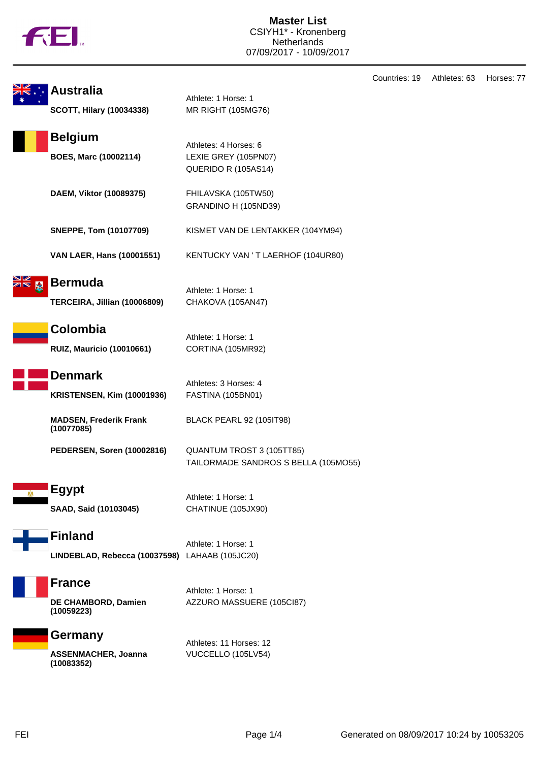

|                                                                  |                                                                      | Cou |
|------------------------------------------------------------------|----------------------------------------------------------------------|-----|
| <b>Australia</b><br><b>SCOTT, Hilary (10034338)</b>              | Athlete: 1 Horse: 1<br>MR RIGHT (105MG76)                            |     |
| <b>Belgium</b><br><b>BOES, Marc (10002114)</b>                   | Athletes: 4 Horses: 6<br>LEXIE GREY (105PN07)<br>QUERIDO R (105AS14) |     |
| DAEM, Viktor (10089375)                                          | FHILAVSKA (105TW50)<br>GRANDINO H (105ND39)                          |     |
| <b>SNEPPE, Tom (10107709)</b>                                    | KISMET VAN DE LENTAKKER (104YM94)                                    |     |
| <b>VAN LAER, Hans (10001551)</b>                                 | KENTUCKY VAN 'T LAERHOF (104UR80)                                    |     |
| <b>Bermuda</b><br>TERCEIRA, Jillian (10006809)                   | Athlete: 1 Horse: 1<br>CHAKOVA (105AN47)                             |     |
| Colombia<br><b>RUIZ, Mauricio (10010661)</b>                     | Athlete: 1 Horse: 1<br>CORTINA (105MR92)                             |     |
| <b>Denmark</b><br><b>KRISTENSEN, Kim (10001936)</b>              | Athletes: 3 Horses: 4<br><b>FASTINA (105BN01)</b>                    |     |
| <b>MADSEN, Frederik Frank</b><br>(10077085)                      | <b>BLACK PEARL 92 (105IT98)</b>                                      |     |
| <b>PEDERSEN, Soren (10002816)</b>                                | QUANTUM TROST 3 (105TT85)<br>TAILORMADE SANDROS S BELLA (105MO55)    |     |
| <b>Egypt</b><br>SAAD, Said (10103045)                            | Athlete: 1 Horse: 1<br>CHATINUE (105JX90)                            |     |
| <b>Finland</b><br>LINDEBLAD, Rebecca (10037598) LAHAAB (105JC20) | Athlete: 1 Horse: 1                                                  |     |
| <b>France</b><br>DE CHAMBORD, Damien<br>(10059223)               | Athlete: 1 Horse: 1<br>AZZURO MASSUERE (105Cl87)                     |     |
| Germany<br><b>ASSENMACHER, Joanna</b><br>(10083352)              | Athletes: 11 Horses: 12<br>VUCCELLO (105LV54)                        |     |

ntries: 19 Athletes: 63 Horses: 77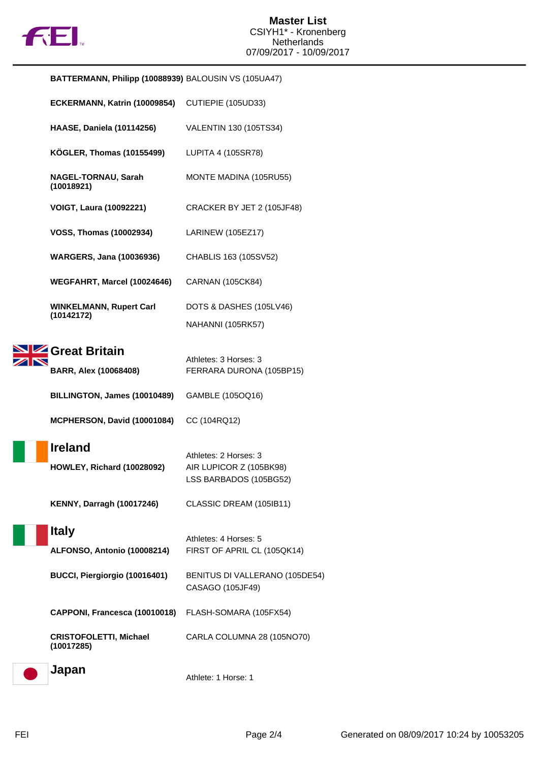

| BATTERMANN, Philipp (10088939) BALOUSIN VS (105UA47) |                                                                            |  |
|------------------------------------------------------|----------------------------------------------------------------------------|--|
| ECKERMANN, Katrin (10009854)                         | CUTIEPIE (105UD33)                                                         |  |
| <b>HAASE, Daniela (10114256)</b>                     | VALENTIN 130 (105TS34)                                                     |  |
| <b>KÖGLER, Thomas (10155499)</b>                     | LUPITA 4 (105SR78)                                                         |  |
| NAGEL-TORNAU, Sarah<br>(10018921)                    | MONTE MADINA (105RU55)                                                     |  |
| <b>VOIGT, Laura (10092221)</b>                       | CRACKER BY JET 2 (105JF48)                                                 |  |
| <b>VOSS, Thomas (10002934)</b>                       | LARINEW (105EZ17)                                                          |  |
| <b>WARGERS, Jana (10036936)</b>                      | CHABLIS 163 (105SV52)                                                      |  |
| WEGFAHRT, Marcel (10024646)                          | <b>CARNAN (105CK84)</b>                                                    |  |
| <b>WINKELMANN, Rupert Carl</b>                       | DOTS & DASHES (105LV46)                                                    |  |
| (10142172)                                           | NAHANNI (105RK57)                                                          |  |
| Great Britain                                        |                                                                            |  |
| <b>BARR, Alex (10068408)</b>                         | Athletes: 3 Horses: 3<br>FERRARA DURONA (105BP15)                          |  |
| BILLINGTON, James (10010489)                         | GAMBLE (105OQ16)                                                           |  |
| MCPHERSON, David (10001084)                          | CC (104RQ12)                                                               |  |
| <b>Ireland</b><br>HOWLEY, Richard (10028092)         | Athletes: 2 Horses: 3<br>AIR LUPICOR Z (105BK98)<br>LSS BARBADOS (105BG52) |  |
| <b>KENNY, Darragh (10017246)</b>                     | CLASSIC DREAM (105IB11)                                                    |  |
| <b>Italy</b><br>ALFONSO, Antonio (10008214)          | Athletes: 4 Horses: 5<br>FIRST OF APRIL CL (105QK14)                       |  |
| BUCCI, Piergiorgio (10016401)                        | BENITUS DI VALLERANO (105DE54)<br>CASAGO (105JF49)                         |  |
| CAPPONI, Francesca (10010018)                        | FLASH-SOMARA (105FX54)                                                     |  |
| <b>CRISTOFOLETTI, Michael</b><br>(10017285)          | CARLA COLUMNA 28 (105NO70)                                                 |  |
| Japan                                                | Athlete: 1 Horse: 1                                                        |  |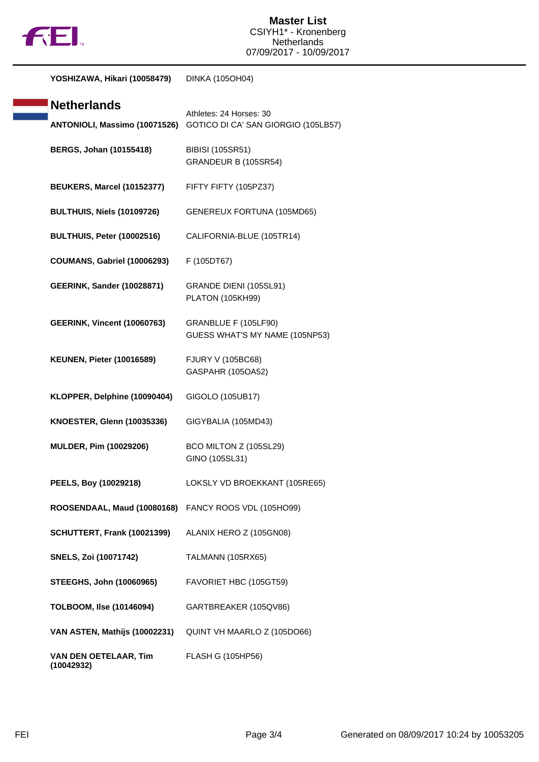

**YOSHIZAWA, Hikari (10058479)** DINKA (105OH04)

| <b>Netherlands</b>                                   | Athletes: 24 Horses: 30                                |
|------------------------------------------------------|--------------------------------------------------------|
| ANTONIOLI, Massimo (10071526)                        | GOTICO DI CA' SAN GIORGIO (105LB57)                    |
| <b>BERGS, Johan (10155418)</b>                       | <b>BIBISI (105SR51)</b><br>GRANDEUR B (105SR54)        |
| <b>BEUKERS, Marcel (10152377)</b>                    | FIFTY FIFTY (105PZ37)                                  |
| <b>BULTHUIS, Niels (10109726)</b>                    | <b>GENEREUX FORTUNA (105MD65)</b>                      |
| BULTHUIS, Peter (10002516)                           | CALIFORNIA-BLUE (105TR14)                              |
| <b>COUMANS, Gabriel (10006293)</b>                   | F (105DT67)                                            |
| <b>GEERINK, Sander (10028871)</b>                    | GRANDE DIENI (105SL91)<br><b>PLATON (105KH99)</b>      |
| <b>GEERINK, Vincent (10060763)</b>                   | GRANBLUE F (105LF90)<br>GUESS WHAT'S MY NAME (105NP53) |
| <b>KEUNEN, Pieter (10016589)</b>                     | <b>FJURY V (105BC68)</b><br>GASPAHR (105OA52)          |
| KLOPPER, Delphine (10090404)                         | GIGOLO (105UB17)                                       |
| <b>KNOESTER, Glenn (10035336)</b>                    | GIGYBALIA (105MD43)                                    |
| <b>MULDER, Pim (10029206)</b>                        | BCO MILTON Z (105SL29)<br>GINO (105SL31)               |
| PEELS, Boy (10029218)                                | LOKSLY VD BROEKKANT (105RE65)                          |
| ROOSENDAAL, Maud (10080168) FANCY ROOS VDL (105HO99) |                                                        |
| SCHUTTERT, Frank (10021399)                          | ALANIX HERO Z (105GN08)                                |
| <b>SNELS, Zoi (10071742)</b>                         | <b>TALMANN (105RX65)</b>                               |
| <b>STEEGHS, John (10060965)</b>                      | FAVORIET HBC (105GT59)                                 |
| TOLBOOM, Ilse (10146094)                             | GARTBREAKER (105QV86)                                  |
| VAN ASTEN, Mathijs (10002231)                        | QUINT VH MAARLO Z (105DO66)                            |
| VAN DEN OETELAAR, Tim<br>(10042932)                  | FLASH G (105HP56)                                      |